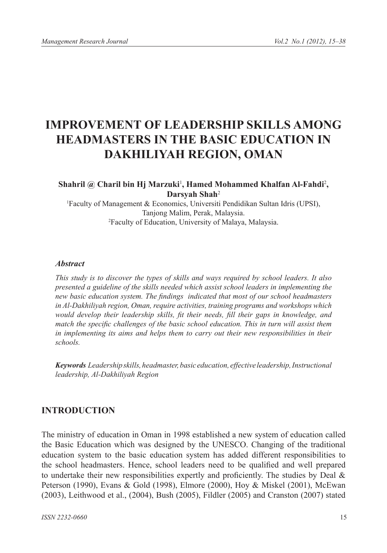# **IMPROVEMENT OF LEADERSHIP SKILLS AMONG HEADMASTERS IN THE BASIC EDUCATION IN DAKHILIYAH REGION, OMAN**

#### Shahril @ Charil bin Hj Marzuki<sup>1</sup>, Hamed Mohammed Khalfan Al-Fahdi<sup>2</sup>, **Darsyah Shah**<sup>2</sup>

1 Faculty of Management & Economics, Universiti Pendidikan Sultan Idris (UPSI), Tanjong Malim, Perak, Malaysia. 2 Faculty of Education, University of Malaya, Malaysia.

#### *Abstract*

*This study is to discover the types of skills and ways required by school leaders. It also presented a guideline of the skills needed which assist school leaders in implementing the new basic education system. The findings indicated that most of our school headmasters in Al-Dakhiliyah region, Oman, require activities, training programs and workshops which would develop their leadership skills, fit their needs, fill their gaps in knowledge, and match the specific challenges of the basic school education. This in turn will assist them in implementing its aims and helps them to carry out their new responsibilities in their schools.*

*Keywords Leadership skills, headmaster, basic education, effective leadership, Instructional leadership, Al-Dakhiliyah Region*

### **INTRODUCTION**

The ministry of education in Oman in 1998 established a new system of education called the Basic Education which was designed by the UNESCO. Changing of the traditional education system to the basic education system has added different responsibilities to the school headmasters. Hence, school leaders need to be qualified and well prepared to undertake their new responsibilities expertly and proficiently. The studies by Deal & Peterson (1990), Evans & Gold (1998), Elmore (2000), Hoy & Miskel (2001), McEwan (2003), Leithwood et al., (2004), Bush (2005), Fildler (2005) and Cranston (2007) stated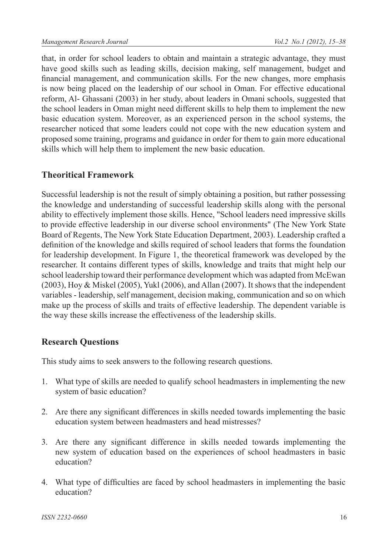that, in order for school leaders to obtain and maintain a strategic advantage, they must have good skills such as leading skills, decision making, self management, budget and financial management, and communication skills. For the new changes, more emphasis is now being placed on the leadership of our school in Oman. For effective educational reform, Al- Ghassani (2003) in her study, about leaders in Omani schools, suggested that the school leaders in Oman might need different skills to help them to implement the new basic education system. Moreover, as an experienced person in the school systems, the researcher noticed that some leaders could not cope with the new education system and proposed some training, programs and guidance in order for them to gain more educational skills which will help them to implement the new basic education.

## **Theoritical Framework**

Successful leadership is not the result of simply obtaining a position, but rather possessing the knowledge and understanding of successful leadership skills along with the personal ability to effectively implement those skills. Hence, "School leaders need impressive skills to provide effective leadership in our diverse school environments" (The New York State Board of Regents, The New York State Education Department, 2003). Leadership crafted a definition of the knowledge and skills required of school leaders that forms the foundation for leadership development. In Figure 1, the theoretical framework was developed by the researcher. It contains different types of skills, knowledge and traits that might help our school leadership toward their performance development which was adapted from McEwan (2003), Hoy & Miskel (2005), Yukl (2006), and Allan (2007). It shows that the independent variables - leadership, self management, decision making, communication and so on which make up the process of skills and traits of effective leadership. The dependent variable is the way these skills increase the effectiveness of the leadership skills.

## **Research Questions**

This study aims to seek answers to the following research questions.

- 1. What type of skills are needed to qualify school headmasters in implementing the new system of basic education?
- 2. Are there any significant differences in skills needed towards implementing the basic education system between headmasters and head mistresses?
- 3. Are there any significant difference in skills needed towards implementing the new system of education based on the experiences of school headmasters in basic education?
- 4. What type of difficulties are faced by school headmasters in implementing the basic education?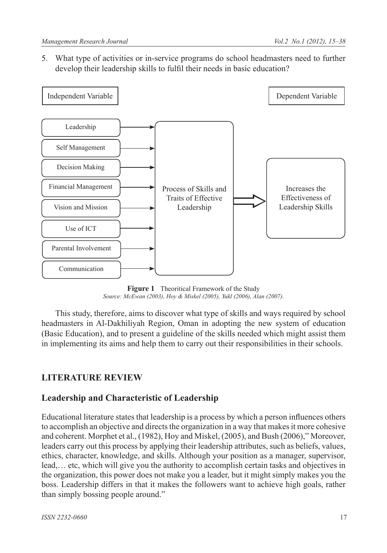5. What type of activities or in-service programs do school headmasters need to further develop their leadership skills to fulfil their needs in basic education?



**Figure 1** Theoritical Framework of the Study *Source: McEwan (2003), Hoy & Miskel (2005), Yukl (2006), Alan (2007).*

This study, therefore, aims to discover what type of skills and ways required by school headmasters in Al-Dakhiliyah Region, Oman in adopting the new system of education (Basic Education), and to present a guideline of the skills needed which might assist them in implementing its aims and help them to carry out their responsibilities in their schools.

## **LITERATURE REVIEW**

## **Leadership and Characteristic of Leadership**

Educational literature states that leadership is a process by which a person influences others to accomplish an objective and directs the organization in a way that makes it more cohesive and coherent. Morphet et al., (1982), Hoy and Miskel, (2005), and Bush (2006)," Moreover, leaders carry out this process by applying their leadership attributes, such as beliefs, values, ethics, character, knowledge, and skills. Although your position as a manager, supervisor, lead,… etc, which will give you the authority to accomplish certain tasks and objectives in the organization, this power does not make you a leader, but it might simply makes you the boss. Leadership differs in that it makes the followers want to achieve high goals, rather than simply bossing people around."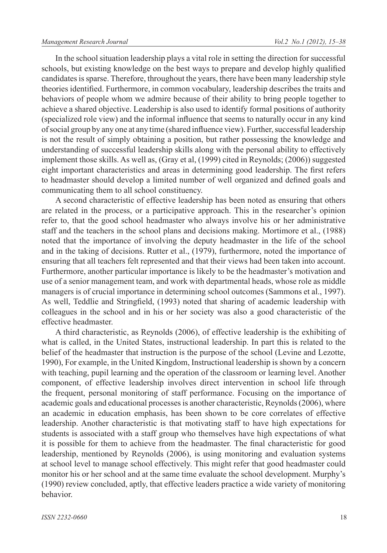In the school situation leadership plays a vital role in setting the direction for successful schools, but existing knowledge on the best ways to prepare and develop highly qualified candidates is sparse. Therefore, throughout the years, there have been many leadership style theories identified. Furthermore, in common vocabulary, leadership describes the traits and behaviors of people whom we admire because of their ability to bring people together to achieve a shared objective. Leadership is also used to identify formal positions of authority (specialized role view) and the informal influence that seems to naturally occur in any kind of social group by any one at any time (shared influence view). Further, successful leadership is not the result of simply obtaining a position, but rather possessing the knowledge and understanding of successful leadership skills along with the personal ability to effectively implement those skills. As well as, (Gray et al, (1999) cited in Reynolds; (2006)) suggested eight important characteristics and areas in determining good leadership. The first refers to headmaster should develop a limited number of well organized and defined goals and communicating them to all school constituency.

A second characteristic of effective leadership has been noted as ensuring that others are related in the process, or a participative approach. This in the researcher's opinion refer to, that the good school headmaster who always involve his or her administrative staff and the teachers in the school plans and decisions making. Mortimore et al., (1988) noted that the importance of involving the deputy headmaster in the life of the school and in the taking of decisions. Rutter et al., (1979), furthermore, noted the importance of ensuring that all teachers felt represented and that their views had been taken into account. Furthermore, another particular importance is likely to be the headmaster's motivation and use of a senior management team, and work with departmental heads, whose role as middle managers is of crucial importance in determining school outcomes (Sammons et al., 1997). As well, Teddlie and Stringfield, (1993) noted that sharing of academic leadership with colleagues in the school and in his or her society was also a good characteristic of the effective headmaster.

A third characteristic, as Reynolds (2006), of effective leadership is the exhibiting of what is called, in the United States, instructional leadership. In part this is related to the belief of the headmaster that instruction is the purpose of the school (Levine and Lezotte, 1990), For example, in the United Kingdom, Instructional leadership is shown by a concern with teaching, pupil learning and the operation of the classroom or learning level. Another component, of effective leadership involves direct intervention in school life through the frequent, personal monitoring of staff performance. Focusing on the importance of academic goals and educational processes is another characteristic, Reynolds (2006), where an academic in education emphasis, has been shown to be core correlates of effective leadership. Another characteristic is that motivating staff to have high expectations for students is associated with a staff group who themselves have high expectations of what it is possible for them to achieve from the headmaster. The final characteristic for good leadership, mentioned by Reynolds (2006), is using monitoring and evaluation systems at school level to manage school effectively. This might refer that good headmaster could monitor his or her school and at the same time evaluate the school development. Murphy's (1990) review concluded, aptly, that effective leaders practice a wide variety of monitoring behavior.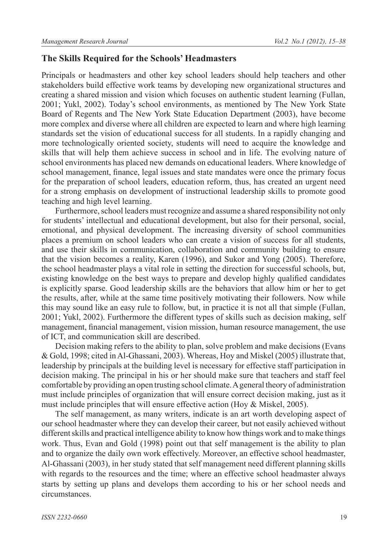#### **The Skills Required for the Schools' Headmasters**

Principals or headmasters and other key school leaders should help teachers and other stakeholders build effective work teams by developing new organizational structures and creating a shared mission and vision which focuses on authentic student learning (Fullan, 2001; Yukl, 2002). Today's school environments, as mentioned by The New York State Board of Regents and The New York State Education Department (2003), have become more complex and diverse where all children are expected to learn and where high learning standards set the vision of educational success for all students. In a rapidly changing and more technologically oriented society, students will need to acquire the knowledge and skills that will help them achieve success in school and in life. The evolving nature of school environments has placed new demands on educational leaders. Where knowledge of school management, finance, legal issues and state mandates were once the primary focus for the preparation of school leaders, education reform, thus, has created an urgent need for a strong emphasis on development of instructional leadership skills to promote good teaching and high level learning.

Furthermore, school leaders must recognize and assume a shared responsibility not only for students' intellectual and educational development, but also for their personal, social, emotional, and physical development. The increasing diversity of school communities places a premium on school leaders who can create a vision of success for all students, and use their skills in communication, collaboration and community building to ensure that the vision becomes a reality, Karen (1996), and Sukor and Yong (2005). Therefore, the school headmaster plays a vital role in setting the direction for successful schools, but, existing knowledge on the best ways to prepare and develop highly qualified candidates is explicitly sparse. Good leadership skills are the behaviors that allow him or her to get the results, after, while at the same time positively motivating their followers. Now while this may sound like an easy rule to follow, but, in practice it is not all that simple (Fullan, 2001; Yukl, 2002). Furthermore the different types of skills such as decision making, self management, financial management, vision mission, human resource management, the use of ICT, and communication skill are described.

Decision making refers to the ability to plan, solve problem and make decisions (Evans & Gold, 1998; cited in Al-Ghassani, 2003). Whereas, Hoy and Miskel (2005) illustrate that, leadership by principals at the building level is necessary for effective staff participation in decision making. The principal in his or her should make sure that teachers and staff feel comfortable by providing an open trusting school climate. A general theory of administration must include principles of organization that will ensure correct decision making, just as it must include principles that will ensure effective action (Hoy & Miskel, 2005).

The self management, as many writers, indicate is an art worth developing aspect of our school headmaster where they can develop their career, but not easily achieved without different skills and practical intelligence ability to know how things work and to make things work. Thus, Evan and Gold (1998) point out that self management is the ability to plan and to organize the daily own work effectively. Moreover, an effective school headmaster, Al-Ghassani (2003), in her study stated that self management need different planning skills with regards to the resources and the time; where an effective school headmaster always starts by setting up plans and develops them according to his or her school needs and circumstances.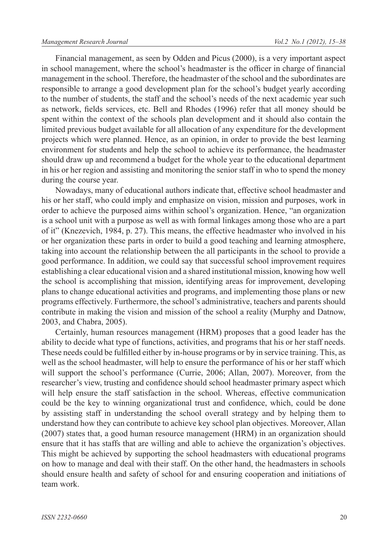Financial management, as seen by Odden and Picus (2000), is a very important aspect in school management, where the school's headmaster is the officer in charge of financial management in the school. Therefore, the headmaster of the school and the subordinates are responsible to arrange a good development plan for the school's budget yearly according to the number of students, the staff and the school's needs of the next academic year such as network, fields services, etc. Bell and Rhodes (1996) refer that all money should be spent within the context of the schools plan development and it should also contain the limited previous budget available for all allocation of any expenditure for the development projects which were planned. Hence, as an opinion, in order to provide the best learning environment for students and help the school to achieve its performance, the headmaster should draw up and recommend a budget for the whole year to the educational department in his or her region and assisting and monitoring the senior staff in who to spend the money during the course year.

Nowadays, many of educational authors indicate that, effective school headmaster and his or her staff, who could imply and emphasize on vision, mission and purposes, work in order to achieve the purposed aims within school's organization. Hence, "an organization is a school unit with a purpose as well as with formal linkages among those who are a part of it" (Knezevich, 1984, p. 27). This means, the effective headmaster who involved in his or her organization these parts in order to build a good teaching and learning atmosphere, taking into account the relationship between the all participants in the school to provide a good performance. In addition, we could say that successful school improvement requires establishing a clear educational vision and a shared institutional mission, knowing how well the school is accomplishing that mission, identifying areas for improvement, developing plans to change educational activities and programs, and implementing those plans or new programs effectively. Furthermore, the school's administrative, teachers and parents should contribute in making the vision and mission of the school a reality (Murphy and Datnow, 2003, and Chabra, 2005).

Certainly, human resources management (HRM) proposes that a good leader has the ability to decide what type of functions, activities, and programs that his or her staff needs. These needs could be fulfilled either by in-house programs or by in service training. This, as well as the school headmaster, will help to ensure the performance of his or her staff which will support the school's performance (Currie, 2006; Allan, 2007). Moreover, from the researcher's view, trusting and confidence should school headmaster primary aspect which will help ensure the staff satisfaction in the school. Whereas, effective communication could be the key to winning organizational trust and confidence, which, could be done by assisting staff in understanding the school overall strategy and by helping them to understand how they can contribute to achieve key school plan objectives. Moreover, Allan (2007) states that, a good human resource management (HRM) in an organization should ensure that it has staffs that are willing and able to achieve the organization's objectives. This might be achieved by supporting the school headmasters with educational programs on how to manage and deal with their staff. On the other hand, the headmasters in schools should ensure health and safety of school for and ensuring cooperation and initiations of team work.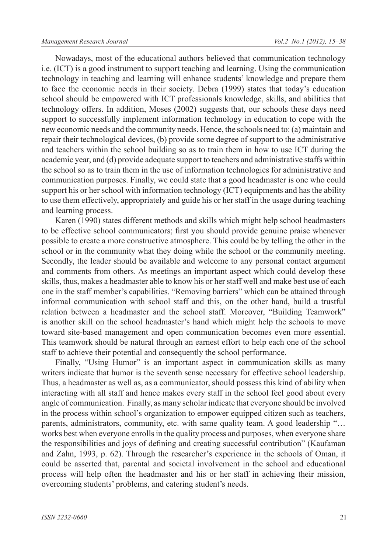Nowadays, most of the educational authors believed that communication technology i.e. (ICT) is a good instrument to support teaching and learning. Using the communication technology in teaching and learning will enhance students' knowledge and prepare them to face the economic needs in their society. Debra (1999) states that today's education school should be empowered with ICT professionals knowledge, skills, and abilities that technology offers. In addition, Moses (2002) suggests that, our schools these days need support to successfully implement information technology in education to cope with the new economic needs and the community needs. Hence, the schools need to: (a) maintain and repair their technological devices, (b) provide some degree of support to the administrative and teachers within the school building so as to train them in how to use ICT during the academic year, and (d) provide adequate support to teachers and administrative staffs within the school so as to train them in the use of information technologies for administrative and communication purposes. Finally, we could state that a good headmaster is one who could support his or her school with information technology (ICT) equipments and has the ability to use them effectively, appropriately and guide his or her staff in the usage during teaching and learning process.

Karen (1990) states different methods and skills which might help school headmasters to be effective school communicators; first you should provide genuine praise whenever possible to create a more constructive atmosphere. This could be by telling the other in the school or in the community what they doing while the school or the community meeting. Secondly, the leader should be available and welcome to any personal contact argument and comments from others. As meetings an important aspect which could develop these skills, thus, makes a headmaster able to know his or her staff well and make best use of each one in the staff member's capabilities. "Removing barriers" which can be attained through informal communication with school staff and this, on the other hand, build a trustful relation between a headmaster and the school staff. Moreover, "Building Teamwork" is another skill on the school headmaster's hand which might help the schools to move toward site-based management and open communication becomes even more essential. This teamwork should be natural through an earnest effort to help each one of the school staff to achieve their potential and consequently the school performance.

Finally, "Using Humor" is an important aspect in communication skills as many writers indicate that humor is the seventh sense necessary for effective school leadership. Thus, a headmaster as well as, as a communicator, should possess this kind of ability when interacting with all staff and hence makes every staff in the school feel good about every angle of communication. Finally, as many scholar indicate that everyone should be involved in the process within school's organization to empower equipped citizen such as teachers, parents, administrators, community, etc. with same quality team. A good leadership "... works best when everyone enrolls in the quality process and purposes, when everyone share the responsibilities and joys of defining and creating successful contribution" (Kaufaman and Zahn, 1993, p. 62). Through the researcher's experience in the schools of Oman, it could be asserted that, parental and societal involvement in the school and educational process will help often the headmaster and his or her staff in achieving their mission, overcoming students' problems, and catering student's needs.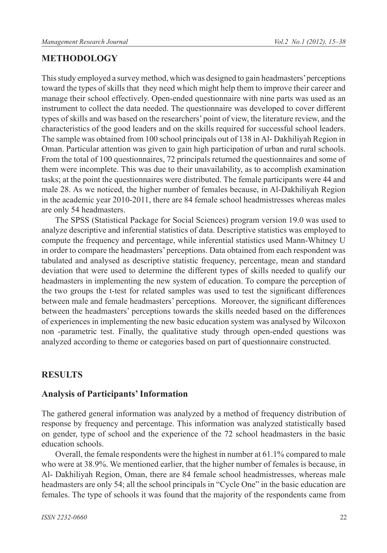## **METHODOLOGY**

This study employed a survey method, which was designed to gain headmasters' perceptions toward the types of skills that they need which might help them to improve their career and manage their school effectively. Open-ended questionnaire with nine parts was used as an instrument to collect the data needed. The questionnaire was developed to cover different types of skills and was based on the researchers' point of view, the literature review, and the characteristics of the good leaders and on the skills required for successful school leaders. The sample was obtained from 100 school principals out of 138 in Al- Dakhiliyah Region in Oman. Particular attention was given to gain high participation of urban and rural schools. From the total of 100 questionnaires, 72 principals returned the questionnaires and some of them were incomplete. This was due to their unavailability, as to accomplish examination tasks; at the point the questionnaires were distributed. The female participants were 44 and male 28. As we noticed, the higher number of females because, in Al-Dakhiliyah Region in the academic year 2010-2011, there are 84 female school headmistresses whereas males are only 54 headmasters.

The SPSS (Statistical Package for Social Sciences) program version 19.0 was used to analyze descriptive and inferential statistics of data. Descriptive statistics was employed to compute the frequency and percentage, while inferential statistics used Mann-Whitney U in order to compare the headmasters' perceptions. Data obtained from each respondent was tabulated and analysed as descriptive statistic frequency, percentage, mean and standard deviation that were used to determine the different types of skills needed to qualify our headmasters in implementing the new system of education. To compare the perception of the two groups the t-test for related samples was used to test the significant differences between male and female headmasters' perceptions. Moreover, the significant differences between the headmasters' perceptions towards the skills needed based on the differences of experiences in implementing the new basic education system was analysed by Wilcoxon non -parametric test. Finally, the qualitative study through open-ended questions was analyzed according to theme or categories based on part of questionnaire constructed.

## **RESULTS**

#### **Analysis of Participants' Information**

The gathered general information was analyzed by a method of frequency distribution of response by frequency and percentage. This information was analyzed statistically based on gender, type of school and the experience of the 72 school headmasters in the basic education schools.

Overall, the female respondents were the highest in number at 61.1% compared to male who were at 38.9%. We mentioned earlier, that the higher number of females is because, in Al- Dakhiliyah Region, Oman, there are 84 female school headmistresses, whereas male headmasters are only 54; all the school principals in "Cycle One" in the basic education are females. The type of schools it was found that the majority of the respondents came from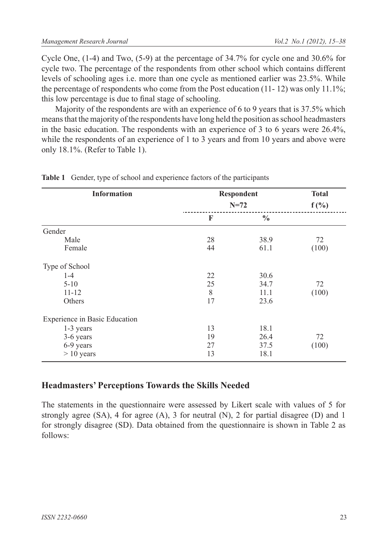Cycle One, (1-4) and Two, (5-9) at the percentage of 34.7% for cycle one and 30.6% for cycle two. The percentage of the respondents from other school which contains different levels of schooling ages i.e. more than one cycle as mentioned earlier was 23.5%. While the percentage of respondents who come from the Post education  $(11 - 12)$  was only  $11.1\%$ ; this low percentage is due to final stage of schooling.

Majority of the respondents are with an experience of 6 to 9 years that is 37.5% which means that the majority of the respondents have long held the position as school headmasters in the basic education. The respondents with an experience of 3 to 6 years were 26.4%, while the respondents of an experience of 1 to 3 years and from 10 years and above were only 18.1%. (Refer to Table 1).

| <b>Information</b>            |    | <b>Respondent</b><br>$N = 72$ |       |  |  |  |
|-------------------------------|----|-------------------------------|-------|--|--|--|
|                               |    |                               |       |  |  |  |
|                               | F  | $\frac{0}{0}$                 |       |  |  |  |
| Gender                        |    |                               |       |  |  |  |
| Male                          | 28 | 38.9                          | 72    |  |  |  |
| Female                        | 44 | 61.1                          | (100) |  |  |  |
| Type of School                |    |                               |       |  |  |  |
| $1 - 4$                       | 22 | 30.6                          |       |  |  |  |
| $5 - 10$                      | 25 | 34.7                          | 72    |  |  |  |
| $11 - 12$                     | 8  | 11.1                          | (100) |  |  |  |
| Others                        | 17 | 23.6                          |       |  |  |  |
| Experience in Basic Education |    |                               |       |  |  |  |
| 1-3 years                     | 13 | 18.1                          |       |  |  |  |
| 3-6 years                     | 19 | 26.4                          | 72    |  |  |  |
| 6-9 years                     | 27 | 37.5                          | (100) |  |  |  |
| $> 10$ years                  | 13 | 18.1                          |       |  |  |  |

**Table 1** Gender, type of school and experience factors of the participants

### **Headmasters' Perceptions Towards the Skills Needed**

The statements in the questionnaire were assessed by Likert scale with values of 5 for strongly agree  $(SA)$ , 4 for agree  $(A)$ , 3 for neutral  $(N)$ , 2 for partial disagree  $(D)$  and 1 for strongly disagree (SD). Data obtained from the questionnaire is shown in Table 2 as follows: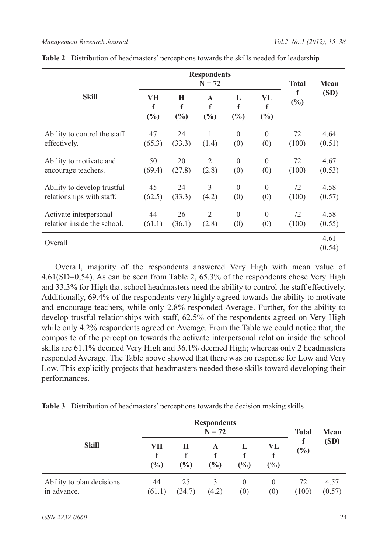|                              |                |               | <b>Respondents</b><br>$N = 72$ |               | <b>Total</b>   | Mean        |                |
|------------------------------|----------------|---------------|--------------------------------|---------------|----------------|-------------|----------------|
| Skill                        | VH<br>f<br>(%) | Н<br>f<br>(%) | $\mathbf{A}$<br>f<br>(%)       | L<br>f<br>(%) | VL<br>f<br>(%) | f<br>$(\%)$ | (SD)           |
| Ability to control the staff | 47             | 24            | 1                              | $\theta$      | $\theta$       | 72          | 4.64           |
| effectively.                 | (65.3)         | (33.3)        | (1.4)                          | (0)           | (0)            | (100)       | (0.51)         |
| Ability to motivate and      | 50             | 20            | 2                              | $\theta$      | $\theta$       | 72          | 4.67           |
| encourage teachers.          | (69.4)         | (27.8)        | (2.8)                          | (0)           | (0)            | (100)       | (0.53)         |
| Ability to develop trustful  | 45             | 24            | 3                              | $\theta$      | $\theta$       | 72          | 4.58           |
| relationships with staff.    | (62.5)         | (33.3)        | (4.2)                          | (0)           | (0)            | (100)       | (0.57)         |
| Activate interpersonal       | 44             | 26            | 2                              | $\theta$      | $\theta$       | 72          | 4.58           |
| relation inside the school.  | (61.1)         | (36.1)        | (2.8)                          | (0)           | (0)            | (100)       | (0.55)         |
| Overall                      |                |               |                                |               |                |             | 4.61<br>(0.54) |

| Table 2 Distribution of headmasters' perceptions towards the skills needed for leadership |  |  |  |
|-------------------------------------------------------------------------------------------|--|--|--|
|-------------------------------------------------------------------------------------------|--|--|--|

Overall, majority of the respondents answered Very High with mean value of 4.61(SD=0,54). As can be seen from Table 2, 65.3% of the respondents chose Very High and 33.3% for High that school headmasters need the ability to control the staff effectively. Additionally, 69.4% of the respondents very highly agreed towards the ability to motivate and encourage teachers, while only 2.8% responded Average. Further, for the ability to develop trustful relationships with staff, 62.5% of the respondents agreed on Very High while only 4.2% respondents agreed on Average. From the Table we could notice that, the composite of the perception towards the activate interpersonal relation inside the school skills are 61.1% deemed Very High and 36.1% deemed High; whereas only 2 headmasters responded Average. The Table above showed that there was no response for Low and Very Low. This explicitly projects that headmasters needed these skills toward developing their performances.

|  | Table 3 Distribution of headmasters' perceptions towards the decision making skills |  |  |  |
|--|-------------------------------------------------------------------------------------|--|--|--|
|--|-------------------------------------------------------------------------------------|--|--|--|

| <b>Skill</b>                             |                   | <b>Total</b> | Mean        |                               |                 |             |                |
|------------------------------------------|-------------------|--------------|-------------|-------------------------------|-----------------|-------------|----------------|
|                                          | VН<br>f<br>$(\%)$ | Н<br>$(\%)$  | A<br>$(\%)$ | L<br>(%)                      | VL<br>(%)       | $(\%)$      | (SD)           |
| Ability to plan decisions<br>in advance. | 44<br>(61.1)      | 25<br>(34.7) | 3<br>(4.2)  | $\theta$<br>$\left( 0\right)$ | $\theta$<br>(0) | 72<br>(100) | 4.57<br>(0.57) |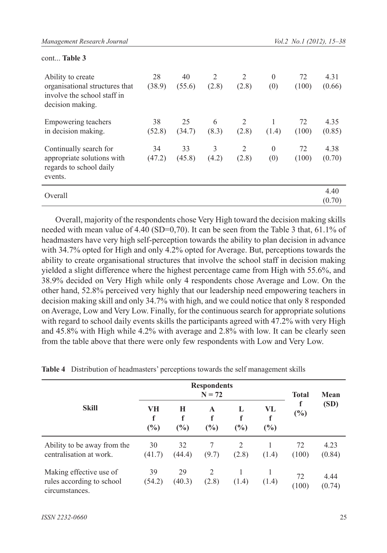| munuzement neseuren bournut                                                                            |              |              |            |            |                 | 101.2 110.1 120127, 13300 |                |
|--------------------------------------------------------------------------------------------------------|--------------|--------------|------------|------------|-----------------|---------------------------|----------------|
| cont Table 3                                                                                           |              |              |            |            |                 |                           |                |
| Ability to create<br>organisational structures that<br>involve the school staff in<br>decision making. | 28<br>(38.9) | 40<br>(55.6) | 2<br>(2.8) | 2<br>(2.8) | $\theta$<br>(0) | 72<br>(100)               | 4.31<br>(0.66) |
| Empowering teachers<br>in decision making.                                                             | 38<br>(52.8) | 25<br>(34.7) | 6<br>(8.3) | 2<br>(2.8) | (1.4)           | 72<br>(100)               | 4.35<br>(0.85) |
| Continually search for<br>appropriate solutions with<br>regards to school daily<br>events.             | 34<br>(47.2) | 33<br>(45.8) | 3<br>(4.2) | 2<br>(2.8) | $\theta$<br>(0) | 72<br>(100)               | 4.38<br>(0.70) |
| Overall                                                                                                |              |              |            |            |                 |                           | 4.40<br>(0.70) |

Overall, majority of the respondents chose Very High toward the decision making skills needed with mean value of 4.40 (SD=0,70). It can be seen from the Table 3 that, 61.1% of headmasters have very high self-perception towards the ability to plan decision in advance with 34.7% opted for High and only 4.2% opted for Average. But, perceptions towards the ability to create organisational structures that involve the school staff in decision making yielded a slight difference where the highest percentage came from High with 55.6%, and 38.9% decided on Very High while only 4 respondents chose Average and Low. On the other hand, 52.8% perceived very highly that our leadership need empowering teachers in decision making skill and only 34.7% with high, and we could notice that only 8 responded on Average, Low and Very Low. Finally, for the continuous search for appropriate solutions with regard to school daily events skills the participants agreed with 47.2% with very High and 45.8% with High while 4.2% with average and 2.8% with low. It can be clearly seen from the table above that there were only few respondents with Low and Very Low.

|                                                                        |                |               | <b>Respondents</b><br>$N = 72$ |               |                | <b>Total</b> | Mean           |
|------------------------------------------------------------------------|----------------|---------------|--------------------------------|---------------|----------------|--------------|----------------|
| <b>Skill</b>                                                           | VH<br>f<br>(%) | Н<br>f<br>(%) | A<br>f<br>$\binom{0}{0}$       | L<br>f<br>(%) | VL<br>f<br>(%) | f<br>(%)     | (SD)           |
| Ability to be away from the<br>centralisation at work.                 | 30<br>(41.7)   | 32<br>(44.4)  | 7<br>(9.7)                     | 2<br>(2.8)    | (1.4)          | 72<br>(100)  | 4.23<br>(0.84) |
| Making effective use of<br>rules according to school<br>circumstances. | 39<br>(54.2)   | 29<br>(40.3)  | 2<br>(2.8)                     | (1.4)         | (1.4)          | 72<br>(100)  | 4.44<br>(0.74) |

**Table 4** Distribution of headmasters' perceptions towards the self management skills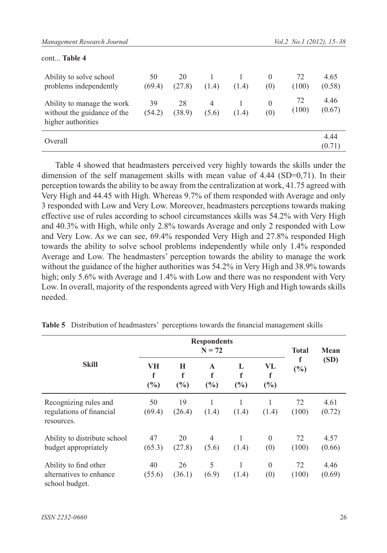| cont Table 4                                                                    |              |              |                         |       |                 |             |                |
|---------------------------------------------------------------------------------|--------------|--------------|-------------------------|-------|-----------------|-------------|----------------|
| Ability to solve school<br>problems independently                               | 50<br>(69.4) | 20<br>(27.8) | (1.4)                   | (1.4) | $\theta$<br>(0) | 72<br>(100) | 4.65<br>(0.58) |
| Ability to manage the work<br>without the guidance of the<br>higher authorities | 39<br>(54.2) | 28<br>(38.9) | $\overline{4}$<br>(5.6) | (1.4) | $\Omega$<br>(0) | 72<br>(100) | 4.46<br>(0.67) |
| Overall                                                                         |              |              |                         |       |                 |             | 4.44<br>(0.71) |

Table 4 showed that headmasters perceived very highly towards the skills under the dimension of the self management skills with mean value of 4.44 (SD=0,71). In their perception towards the ability to be away from the centralization at work, 41.75 agreed with Very High and 44.45 with High. Whereas 9.7% of them responded with Average and only 3 responded with Low and Very Low. Moreover, headmasters perceptions towards making effective use of rules according to school circumstances skills was 54.2% with Very High and 40.3% with High, while only 2.8% towards Average and only 2 responded with Low and Very Low. As we can see, 69.4% responded Very High and 27.8% responded High towards the ability to solve school problems independently while only 1.4% responded Average and Low. The headmasters' perception towards the ability to manage the work without the guidance of the higher authorities was 54.2% in Very High and 38.9% towards high; only 5.6% with Average and 1.4% with Low and there was no respondent with Very Low. In overall, majority of the respondents agreed with Very High and High towards skills needed.

|                                                                    |                |               | <b>Respondents</b><br>$N = 72$ |               |                 | <b>Total</b> | Mean           |
|--------------------------------------------------------------------|----------------|---------------|--------------------------------|---------------|-----------------|--------------|----------------|
| <b>Skill</b>                                                       | VH<br>f<br>(%) | Н<br>f<br>(%) | $\mathbf{A}$<br>f<br>(%)       | L<br>f<br>(%) | VL<br>f<br>(%)  | f<br>$(\%)$  | (SD)           |
| Recognizing rules and<br>regulations of financial<br>resources.    | 50<br>(69.4)   | 19<br>(26.4)  | (1.4)                          | (1.4)         | (1.4)           | 72<br>(100)  | 4.61<br>(0.72) |
| Ability to distribute school<br>budget appropriately               | 47<br>(65.3)   | 20<br>(27.8)  | 4<br>(5.6)                     | (1.4)         | $\Omega$<br>(0) | 72<br>(100)  | 4.57<br>(0.66) |
| Ability to find other<br>alternatives to enhance<br>school budget. | 40<br>(55.6)   | 26<br>(36.1)  | 5<br>(6.9)                     | (1.4)         | $\theta$<br>(0) | 72<br>(100)  | 4.46<br>(0.69) |

**Table 5** Distribution of headmasters' perceptions towards the financial management skills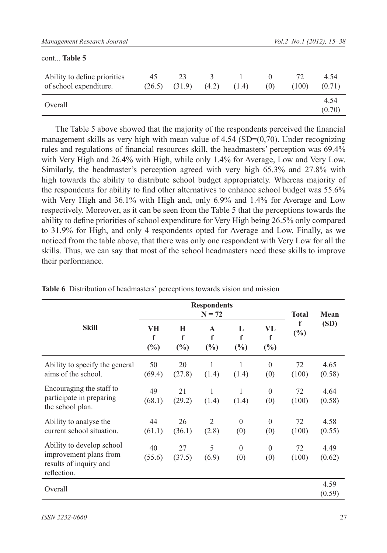| cont Table 5                                           |              |              |            |       |                 |             |                |
|--------------------------------------------------------|--------------|--------------|------------|-------|-----------------|-------------|----------------|
| Ability to define priorities<br>of school expenditure. | 45<br>(26.5) | 23<br>(31.9) | 3<br>(4.2) | (1.4) | $\theta$<br>(0) | 72<br>(100) | 4.54<br>(0.71) |
| Overall                                                |              |              |            |       |                 |             | 4.54<br>(0.70) |

The Table 5 above showed that the majority of the respondents perceived the financial management skills as very high with mean value of  $4.54$  (SD= $(0,70)$ ). Under recognizing rules and regulations of financial resources skill, the headmasters' perception was 69.4% with Very High and 26.4% with High, while only 1.4% for Average, Low and Very Low. Similarly, the headmaster's perception agreed with very high 65.3% and 27.8% with high towards the ability to distribute school budget appropriately. Whereas majority of the respondents for ability to find other alternatives to enhance school budget was 55.6% with Very High and 36.1% with High and, only 6.9% and 1.4% for Average and Low respectively. Moreover, as it can be seen from the Table 5 that the perceptions towards the ability to define priorities of school expenditure for Very High being 26.5% only compared to 31.9% for High, and only 4 respondents opted for Average and Low. Finally, as we noticed from the table above, that there was only one respondent with Very Low for all the skills. Thus, we can say that most of the school headmasters need these skills to improve their performance.

|                                                                                              |                          | <b>Respondents</b>         | <b>Total</b>             | Mean                    |                   |             |                |
|----------------------------------------------------------------------------------------------|--------------------------|----------------------------|--------------------------|-------------------------|-------------------|-------------|----------------|
| <b>Skill</b>                                                                                 | VH<br>$\mathbf f$<br>(%) | Н<br>$\mathbf f$<br>$(\%)$ | $\mathbf{A}$<br>f<br>(%) | L<br>$\mathbf f$<br>(%) | VL<br>f<br>$(\%)$ | f<br>$(\%)$ | (SD)           |
| Ability to specify the general<br>aims of the school.                                        | 50<br>(69.4)             | 20<br>(27.8)               | 1<br>(1.4)               | 1<br>(1.4)              | $\theta$<br>(0)   | 72<br>(100) | 4.65<br>(0.58) |
| Encouraging the staff to<br>participate in preparing<br>the school plan.                     | 49<br>(68.1)             | 21<br>(29.2)               | 1<br>(1.4)               | 1<br>(1.4)              | $\theta$<br>(0)   | 72<br>(100) | 4.64<br>(0.58) |
| Ability to analyse the<br>current school situation.                                          | 44<br>(61.1)             | 26<br>(36.1)               | 2<br>(2.8)               | $\Omega$<br>(0)         | $\theta$<br>(0)   | 72<br>(100) | 4.58<br>(0.55) |
| Ability to develop school<br>improvement plans from<br>results of inquiry and<br>reflection. | 40<br>(55.6)             | 27<br>(37.5)               | 5<br>(6.9)               | $\theta$<br>(0)         | $\theta$<br>(0)   | 72<br>(100) | 4.49<br>(0.62) |
| Overall                                                                                      |                          |                            |                          |                         |                   |             | 4.59<br>(0.59) |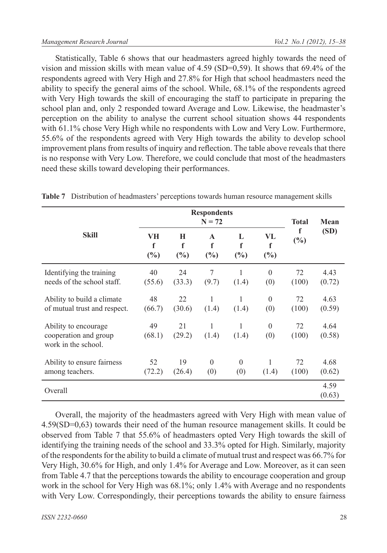Statistically, Table 6 shows that our headmasters agreed highly towards the need of vision and mission skills with mean value of  $4.59$  (SD=0,59). It shows that 69.4% of the respondents agreed with Very High and 27.8% for High that school headmasters need the ability to specify the general aims of the school. While, 68.1% of the respondents agreed with Very High towards the skill of encouraging the staff to participate in preparing the school plan and, only 2 responded toward Average and Low. Likewise, the headmaster's perception on the ability to analyse the current school situation shows 44 respondents with 61.1% chose Very High while no respondents with Low and Very Low. Furthermore, 55.6% of the respondents agreed with Very High towards the ability to develop school improvement plans from results of inquiry and reflection. The table above reveals that there is no response with Very Low. Therefore, we could conclude that most of the headmasters need these skills toward developing their performances.

|                                                                      |                | <b>Respondents</b>      | <b>Total</b>                          | Mean            |                   |             |                |
|----------------------------------------------------------------------|----------------|-------------------------|---------------------------------------|-----------------|-------------------|-------------|----------------|
| <b>Skill</b>                                                         | VH<br>f<br>(%) | Н<br>$\mathbf f$<br>(%) | $\mathbf{A}$<br>$\mathbf f$<br>$(\%)$ | L<br>f<br>(%)   | VL<br>f<br>$(\%)$ | f<br>$(\%)$ | (SD)           |
| Identifying the training<br>needs of the school staff.               | 40<br>(55.6)   | 24<br>(33.3)            | 7<br>(9.7)                            | (1.4)           | $\Omega$<br>(0)   | 72<br>(100) | 4.43<br>(0.72) |
| Ability to build a climate<br>of mutual trust and respect.           | 48<br>(66.7)   | 22<br>(30.6)            | 1<br>(1.4)                            | 1<br>(1.4)      | $\theta$<br>(0)   | 72<br>(100) | 4.63<br>(0.59) |
| Ability to encourage<br>cooperation and group<br>work in the school. | 49<br>(68.1)   | 21<br>(29.2)            | 1<br>(1.4)                            | 1<br>(1.4)      | $\theta$<br>(0)   | 72<br>(100) | 4.64<br>(0.58) |
| Ability to ensure fairness<br>among teachers.                        | 52<br>(72.2)   | 19<br>(26.4)            | $\Omega$<br>(0)                       | $\Omega$<br>(0) | 1<br>(1.4)        | 72<br>(100) | 4.68<br>(0.62) |
| Overall                                                              |                |                         |                                       |                 |                   |             | 4.59<br>(0.63) |

**Table 7** Distribution of headmasters' perceptions towards human resource management skills

Overall, the majority of the headmasters agreed with Very High with mean value of 4.59(SD=0,63) towards their need of the human resource management skills. It could be observed from Table 7 that 55.6% of headmasters opted Very High towards the skill of identifying the training needs of the school and 33.3% opted for High. Similarly, majority of the respondents for the ability to build a climate of mutual trust and respect was 66.7% for Very High, 30.6% for High, and only 1.4% for Average and Low. Moreover, as it can seen from Table 4.7 that the perceptions towards the ability to encourage cooperation and group work in the school for Very High was 68.1%; only 1.4% with Average and no respondents with Very Low. Correspondingly, their perceptions towards the ability to ensure fairness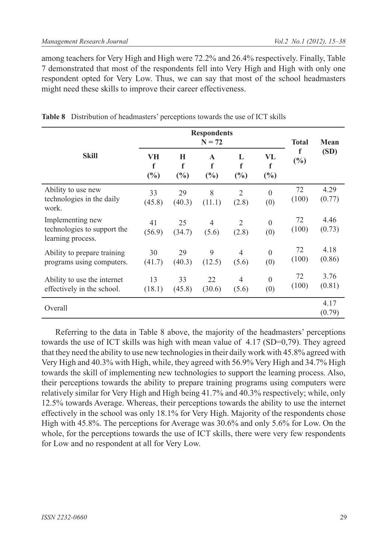among teachers for Very High and High were 72.2% and 26.4% respectively. Finally, Table 7 demonstrated that most of the respondents fell into Very High and High with only one respondent opted for Very Low. Thus, we can say that most of the school headmasters might need these skills to improve their career effectiveness.

|                                                                      |                | <b>Respondents</b>      | <b>Total</b>                          | Mean                    |                   |             |                |
|----------------------------------------------------------------------|----------------|-------------------------|---------------------------------------|-------------------------|-------------------|-------------|----------------|
| <b>Skill</b>                                                         | VH<br>f<br>(%) | Н<br>$\mathbf f$<br>(%) | $\mathbf{A}$<br>$\mathbf f$<br>$(\%)$ | L<br>f<br>(%)           | VL<br>f<br>$(\%)$ | f<br>$(\%)$ | (SD)           |
| Ability to use new<br>technologies in the daily<br>work.             | 33<br>(45.8)   | 29<br>(40.3)            | 8<br>(11.1)                           | $\overline{2}$<br>(2.8) | $\theta$<br>(0)   | 72<br>(100) | 4.29<br>(0.77) |
| Implementing new<br>technologies to support the<br>learning process. | 41<br>(56.9)   | 25<br>(34.7)            | $\overline{4}$<br>(5.6)               | 2<br>(2.8)              | $\theta$<br>(0)   | 72<br>(100) | 4.46<br>(0.73) |
| Ability to prepare training<br>programs using computers.             | 30<br>(41.7)   | 29<br>(40.3)            | 9<br>(12.5)                           | $\overline{4}$<br>(5.6) | $\theta$<br>(0)   | 72<br>(100) | 4.18<br>(0.86) |
| Ability to use the internet<br>effectively in the school.            | 13<br>(18.1)   | 33<br>(45.8)            | 22<br>(30.6)                          | $\overline{4}$<br>(5.6) | $\theta$<br>(0)   | 72<br>(100) | 3.76<br>(0.81) |
| Overall                                                              |                |                         |                                       |                         |                   |             | 4.17<br>(0.79) |

**Table 8** Distribution of headmasters' perceptions towards the use of ICT skills

Referring to the data in Table 8 above, the majority of the headmasters' perceptions towards the use of ICT skills was high with mean value of 4.17 (SD=0,79). They agreed that they need the ability to use new technologies in their daily work with 45.8% agreed with Very High and 40.3% with High, while, they agreed with 56.9% Very High and 34.7% High towards the skill of implementing new technologies to support the learning process. Also, their perceptions towards the ability to prepare training programs using computers were relatively similar for Very High and High being 41.7% and 40.3% respectively; while, only 12.5% towards Average. Whereas, their perceptions towards the ability to use the internet effectively in the school was only 18.1% for Very High. Majority of the respondents chose High with 45.8%. The perceptions for Average was 30.6% and only 5.6% for Low. On the whole, for the perceptions towards the use of ICT skills, there were very few respondents for Low and no respondent at all for Very Low.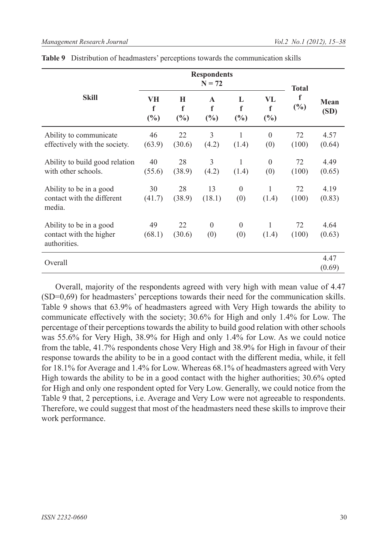|                                                                    |                          | <b>Respondents</b> | <b>Total</b>                |                       |                   |                    |                |
|--------------------------------------------------------------------|--------------------------|--------------------|-----------------------------|-----------------------|-------------------|--------------------|----------------|
| <b>Skill</b>                                                       | VH<br>$\mathbf f$<br>(%) | Н<br>f<br>(%)      | $\mathbf{A}$<br>f<br>$(\%)$ | L<br>f<br>$(\%)$      | VL<br>f<br>$(\%)$ | $\mathbf f$<br>(%) | Mean<br>(SD)   |
| Ability to communicate<br>effectively with the society.            | 46<br>(63.9)             | 22<br>(30.6)       | 3<br>(4.2)                  | 1<br>(1.4)            | $\theta$<br>(0)   | 72<br>(100)        | 4.57<br>(0.64) |
| Ability to build good relation<br>with other schools.              | 40<br>(55.6)             | 28<br>(38.9)       | 3<br>(4.2)                  | $\mathbf{1}$<br>(1.4) | $\theta$<br>(0)   | 72<br>(100)        | 4.49<br>(0.65) |
| Ability to be in a good<br>contact with the different<br>media.    | 30<br>(41.7)             | 28<br>(38.9)       | 13<br>(18.1)                | $\theta$<br>(0)       | 1<br>(1.4)        | 72<br>(100)        | 4.19<br>(0.83) |
| Ability to be in a good<br>contact with the higher<br>authorities. | 49<br>(68.1)             | 22<br>(30.6)       | $\mathbf{0}$<br>(0)         | $\mathbf{0}$<br>(0)   | 1<br>(1.4)        | 72<br>(100)        | 4.64<br>(0.63) |
| Overall                                                            |                          |                    |                             |                       |                   |                    | 4.47<br>(0.69) |

|  | Table 9 Distribution of headmasters' perceptions towards the communication skills |  |  |  |  |
|--|-----------------------------------------------------------------------------------|--|--|--|--|
|--|-----------------------------------------------------------------------------------|--|--|--|--|

Overall, majority of the respondents agreed with very high with mean value of 4.47 (SD=0,69) for headmasters' perceptions towards their need for the communication skills. Table 9 shows that 63.9% of headmasters agreed with Very High towards the ability to communicate effectively with the society; 30.6% for High and only 1.4% for Low. The percentage of their perceptions towards the ability to build good relation with other schools was 55.6% for Very High, 38.9% for High and only 1.4% for Low. As we could notice from the table, 41.7% respondents chose Very High and 38.9% for High in favour of their response towards the ability to be in a good contact with the different media, while, it fell for 18.1% for Average and 1.4% for Low. Whereas 68.1% of headmasters agreed with Very High towards the ability to be in a good contact with the higher authorities; 30.6% opted for High and only one respondent opted for Very Low. Generally, we could notice from the Table 9 that, 2 perceptions, i.e. Average and Very Low were not agreeable to respondents. Therefore, we could suggest that most of the headmasters need these skills to improve their work performance.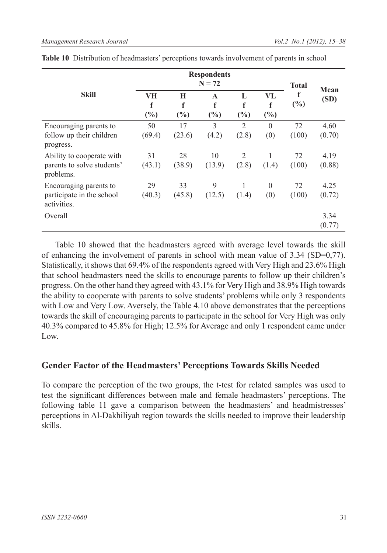|                                                                      |                | <b>Total</b>               |                          |                            |                          |             |                |
|----------------------------------------------------------------------|----------------|----------------------------|--------------------------|----------------------------|--------------------------|-------------|----------------|
| <b>Skill</b>                                                         | VН<br>f<br>(%) | H<br>$\mathbf f$<br>$(\%)$ | $\mathbf{A}$<br>f<br>(%) | L<br>$\mathbf f$<br>$(\%)$ | VL<br>$\mathbf f$<br>(%) | f<br>$(\%)$ | Mean<br>(SD)   |
| Encouraging parents to<br>follow up their children<br>progress.      | 50<br>(69.4)   | 17<br>(23.6)               | 3<br>(4.2)               | $\overline{2}$<br>(2.8)    | $\Omega$<br>(0)          | 72<br>(100) | 4.60<br>(0.70) |
| Ability to cooperate with<br>parents to solve students'<br>problems. | 31<br>(43.1)   | 28<br>(38.9)               | 10<br>(13.9)             | 2<br>(2.8)                 | 1<br>(1.4)               | 72<br>(100) | 4.19<br>(0.88) |
| Encouraging parents to<br>participate in the school<br>activities.   | 29<br>(40.3)   | 33<br>(45.8)               | 9<br>(12.5)              | 1<br>(1.4)                 | $\theta$<br>(0)          | 72<br>(100) | 4.25<br>(0.72) |
| Overall                                                              |                |                            |                          |                            |                          |             | 3.34<br>(0.77) |

Table 10 showed that the headmasters agreed with average level towards the skill of enhancing the involvement of parents in school with mean value of 3.34 (SD=0,77). Statistically, it shows that 69.4% of the respondents agreed with Very High and 23.6% High that school headmasters need the skills to encourage parents to follow up their children's progress. On the other hand they agreed with 43.1% for Very High and 38.9% High towards the ability to cooperate with parents to solve students' problems while only 3 respondents with Low and Very Low. Aversely, the Table 4.10 above demonstrates that the perceptions towards the skill of encouraging parents to participate in the school for Very High was only 40.3% compared to 45.8% for High; 12.5% for Average and only 1 respondent came under Low.

### **Gender Factor of the Headmasters' Perceptions Towards Skills Needed**

To compare the perception of the two groups, the t-test for related samples was used to test the significant differences between male and female headmasters' perceptions. The following table 11 gave a comparison between the headmasters' and headmistresses' perceptions in Al-Dakhiliyah region towards the skills needed to improve their leadership skills.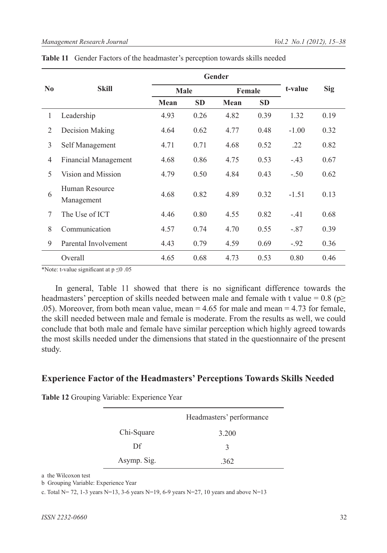| $\bf No$       | <b>Skill</b>                 | <b>Male</b> |           | Female |           | t-value | <b>Sig</b> |
|----------------|------------------------------|-------------|-----------|--------|-----------|---------|------------|
|                |                              | Mean        | <b>SD</b> | Mean   | <b>SD</b> |         |            |
| 1              | Leadership                   | 4.93        | 0.26      | 4.82   | 0.39      | 1.32    | 0.19       |
| 2              | Decision Making              | 4.64        | 0.62      | 4.77   | 0.48      | $-1.00$ | 0.32       |
| 3              | Self Management              | 4.71        | 0.71      | 4.68   | 0.52      | .22     | 0.82       |
| $\overline{4}$ | <b>Financial Management</b>  | 4.68        | 0.86      | 4.75   | 0.53      | $-.43$  | 0.67       |
| 5              | Vision and Mission           | 4.79        | 0.50      | 4.84   | 0.43      | $-.50$  | 0.62       |
| 6              | Human Resource<br>Management | 4.68        | 0.82      | 4.89   | 0.32      | $-1.51$ | 0.13       |
| 7              | The Use of ICT               | 4.46        | 0.80      | 4.55   | 0.82      | $-41$   | 0.68       |
| 8              | Communication                | 4.57        | 0.74      | 4.70   | 0.55      | $-.87$  | 0.39       |
| 9              | Parental Involvement         | 4.43        | 0.79      | 4.59   | 0.69      | $-.92$  | 0.36       |
|                | Overall                      | 4.65        | 0.68      | 4.73   | 0.53      | 0.80    | 0.46       |

|  | Table 11 Gender Factors of the headmaster's perception towards skills needed |  |  |  |  |  |  |  |
|--|------------------------------------------------------------------------------|--|--|--|--|--|--|--|
|--|------------------------------------------------------------------------------|--|--|--|--|--|--|--|

\*Note: t-value significant at p ≤0 .05

In general, Table 11 showed that there is no significant difference towards the headmasters' perception of skills needed between male and female with t value = 0.8 ( $p \ge$ .05). Moreover, from both mean value, mean = 4.65 for male and mean = 4.73 for female, the skill needed between male and female is moderate. From the results as well, we could conclude that both male and female have similar perception which highly agreed towards the most skills needed under the dimensions that stated in the questionnaire of the present study.

#### **Experience Factor of the Headmasters' Perceptions Towards Skills Needed**

**Table 12** Grouping Variable: Experience Year

|             | Headmasters' performance |
|-------------|--------------------------|
| Chi-Square  | 3.200                    |
| Df          | 3                        |
| Asymp. Sig. | 362                      |

a the Wilcoxon test

b Grouping Variable: Experience Year

c. Total N= 72, 1-3 years N=13, 3-6 years N=19, 6-9 years N=27, 10 years and above N=13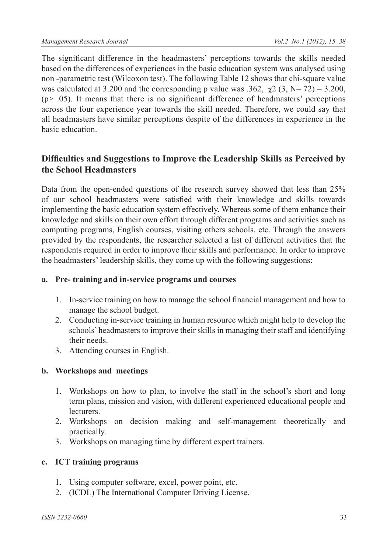The significant difference in the headmasters' perceptions towards the skills needed based on the differences of experiences in the basic education system was analysed using non -parametric test (Wilcoxon test). The following Table 12 shows that chi-square value was calculated at 3.200 and the corresponding p value was .362,  $\gamma$ 2 (3, N= 72) = 3.200,  $(p > .05)$ . It means that there is no significant difference of headmasters' perceptions across the four experience year towards the skill needed. Therefore, we could say that all headmasters have similar perceptions despite of the differences in experience in the basic education.

## **Difficulties and Suggestions to Improve the Leadership Skills as Perceived by the School Headmasters**

Data from the open-ended questions of the research survey showed that less than 25% of our school headmasters were satisfied with their knowledge and skills towards implementing the basic education system effectively. Whereas some of them enhance their knowledge and skills on their own effort through different programs and activities such as computing programs, English courses, visiting others schools, etc. Through the answers provided by the respondents, the researcher selected a list of different activities that the respondents required in order to improve their skills and performance. In order to improve the headmasters' leadership skills, they come up with the following suggestions:

### **a. Pre- training and in-service programs and courses**

- 1. In-service training on how to manage the school financial management and how to manage the school budget.
- 2. Conducting in-service training in human resource which might help to develop the schools' headmasters to improve their skills in managing their staff and identifying their needs.
- 3. Attending courses in English.

### **b. Workshops and meetings**

- 1. Workshops on how to plan, to involve the staff in the school's short and long term plans, mission and vision, with different experienced educational people and lecturers.
- 2. Workshops on decision making and self-management theoretically and practically.
- 3. Workshops on managing time by different expert trainers.

## **c. ICT training programs**

- 1. Using computer software, excel, power point, etc.
- 2. (ICDL) The International Computer Driving License.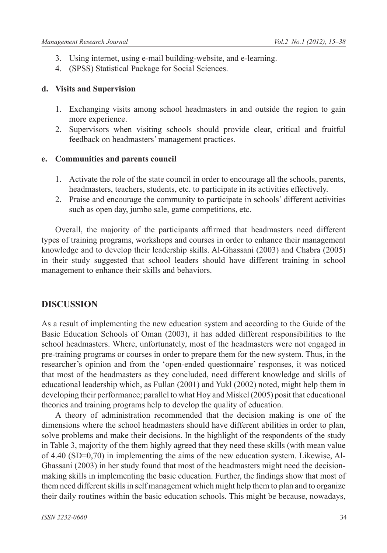- 3. Using internet, using e-mail building-website, and e-learning.
- 4. (SPSS) Statistical Package for Social Sciences.

#### **d. Visits and Supervision**

- 1. Exchanging visits among school headmasters in and outside the region to gain more experience.
- 2. Supervisors when visiting schools should provide clear, critical and fruitful feedback on headmasters' management practices.

### **e. Communities and parents council**

- 1. Activate the role of the state council in order to encourage all the schools, parents, headmasters, teachers, students, etc. to participate in its activities effectively.
- 2. Praise and encourage the community to participate in schools' different activities such as open day, jumbo sale, game competitions, etc.

Overall, the majority of the participants affirmed that headmasters need different types of training programs, workshops and courses in order to enhance their management knowledge and to develop their leadership skills. Al-Ghassani (2003) and Chabra (2005) in their study suggested that school leaders should have different training in school management to enhance their skills and behaviors.

## **DISCUSSION**

As a result of implementing the new education system and according to the Guide of the Basic Education Schools of Oman (2003), it has added different responsibilities to the school headmasters. Where, unfortunately, most of the headmasters were not engaged in pre-training programs or courses in order to prepare them for the new system. Thus, in the researcher's opinion and from the 'open-ended questionnaire' responses, it was noticed that most of the headmasters as they concluded, need different knowledge and skills of educational leadership which, as Fullan (2001) and Yukl (2002) noted, might help them in developing their performance; parallel to what Hoy and Miskel (2005) posit that educational theories and training programs help to develop the quality of education.

A theory of administration recommended that the decision making is one of the dimensions where the school headmasters should have different abilities in order to plan, solve problems and make their decisions. In the highlight of the respondents of the study in Table 3, majority of the them highly agreed that they need these skills (with mean value of 4.40 (SD=0,70) in implementing the aims of the new education system. Likewise, Al-Ghassani (2003) in her study found that most of the headmasters might need the decisionmaking skills in implementing the basic education. Further, the findings show that most of them need different skills in self management which might help them to plan and to organize their daily routines within the basic education schools. This might be because, nowadays,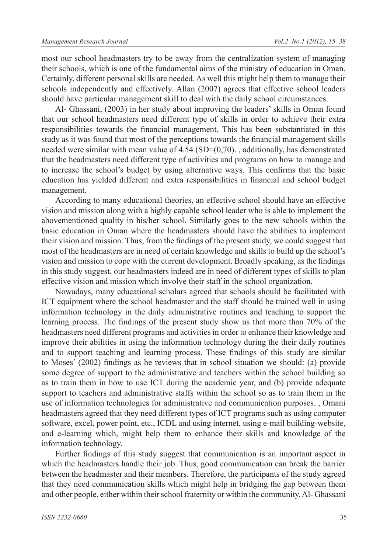most our school headmasters try to be away from the centralization system of managing their schools, which is one of the fundamental aims of the ministry of education in Oman. Certainly, different personal skills are needed. As well this might help them to manage their schools independently and effectively. Allan (2007) agrees that effective school leaders should have particular management skill to deal with the daily school circumstances.

Al- Ghassani, (2003) in her study about improving the leaders' skills in Oman found that our school headmasters need different type of skills in order to achieve their extra responsibilities towards the financial management. This has been substantiated in this study as it was found that most of the perceptions towards the financial management skills needed were similar with mean value of  $4.54$  (SD= $(0,70)$ ., additionally, has demonstrated that the headmasters need different type of activities and programs on how to manage and to increase the school's budget by using alternative ways. This confirms that the basic education has yielded different and extra responsibilities in financial and school budget management.

According to many educational theories, an effective school should have an effective vision and mission along with a highly capable school leader who is able to implement the abovementioned quality in his/her school. Similarly goes to the new schools within the basic education in Oman where the headmasters should have the abilities to implement their vision and mission. Thus, from the findings of the present study, we could suggest that most of the headmasters are in need of certain knowledge and skills to build up the school's vision and mission to cope with the current development. Broadly speaking, as the findings in this study suggest, our headmasters indeed are in need of different types of skills to plan effective vision and mission which involve their staff in the school organization.

Nowadays, many educational scholars agreed that schools should be facilitated with ICT equipment where the school headmaster and the staff should be trained well in using information technology in the daily administrative routines and teaching to support the learning process. The findings of the present study show us that more than 70% of the headmasters need different programs and activities in order to enhance their knowledge and improve their abilities in using the information technology during the their daily routines and to support teaching and learning process. These findings of this study are similar to Moses' (2002) findings as he reviews that in school situation we should: (a) provide some degree of support to the administrative and teachers within the school building so as to train them in how to use ICT during the academic year, and (b) provide adequate support to teachers and administrative staffs within the school so as to train them in the use of information technologies for administrative and communication purposes. , Omani headmasters agreed that they need different types of ICT programs such as using computer software, excel, power point, etc., ICDL and using internet, using e-mail building-website, and e-learning which, might help them to enhance their skills and knowledge of the information technology.

Further findings of this study suggest that communication is an important aspect in which the headmasters handle their job. Thus, good communication can break the barrier between the headmaster and their members. Therefore, the participants of the study agreed that they need communication skills which might help in bridging the gap between them and other people, either within their school fraternity or within the community. Al- Ghassani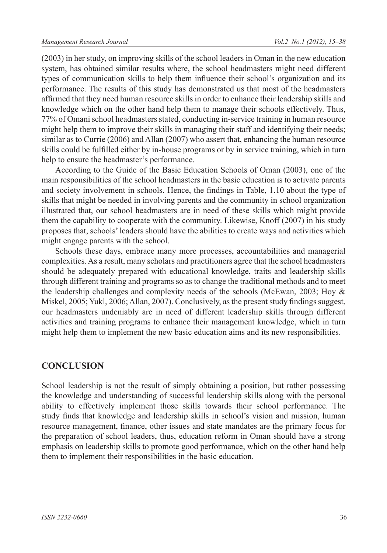(2003) in her study, on improving skills of the school leaders in Oman in the new education system, has obtained similar results where, the school headmasters might need different types of communication skills to help them influence their school's organization and its performance. The results of this study has demonstrated us that most of the headmasters affirmed that they need human resource skills in order to enhance their leadership skills and knowledge which on the other hand help them to manage their schools effectively. Thus, 77% of Omani school headmasters stated, conducting in-service training in human resource might help them to improve their skills in managing their staff and identifying their needs; similar as to Currie (2006) and Allan (2007) who assert that, enhancing the human resource skills could be fulfilled either by in-house programs or by in service training, which in turn help to ensure the headmaster's performance.

According to the Guide of the Basic Education Schools of Oman (2003), one of the main responsibilities of the school headmasters in the basic education is to activate parents and society involvement in schools. Hence, the findings in Table, 1.10 about the type of skills that might be needed in involving parents and the community in school organization illustrated that, our school headmasters are in need of these skills which might provide them the capability to cooperate with the community. Likewise, Knoff (2007) in his study proposes that, schools' leaders should have the abilities to create ways and activities which might engage parents with the school.

Schools these days, embrace many more processes, accountabilities and managerial complexities. As a result, many scholars and practitioners agree that the school headmasters should be adequately prepared with educational knowledge, traits and leadership skills through different training and programs so as to change the traditional methods and to meet the leadership challenges and complexity needs of the schools (McEwan, 2003; Hoy  $\&$ Miskel, 2005; Yukl, 2006; Allan, 2007). Conclusively, as the present study findings suggest, our headmasters undeniably are in need of different leadership skills through different activities and training programs to enhance their management knowledge, which in turn might help them to implement the new basic education aims and its new responsibilities.

## **CONCLUSION**

School leadership is not the result of simply obtaining a position, but rather possessing the knowledge and understanding of successful leadership skills along with the personal ability to effectively implement those skills towards their school performance. The study finds that knowledge and leadership skills in school's vision and mission, human resource management, finance, other issues and state mandates are the primary focus for the preparation of school leaders, thus, education reform in Oman should have a strong emphasis on leadership skills to promote good performance, which on the other hand help them to implement their responsibilities in the basic education.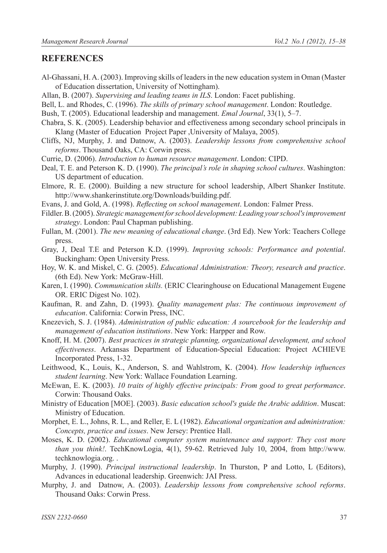#### **REFERENCES**

- Al-Ghassani, H. A. (2003). Improving skills of leaders in the new education system in Oman (Master of Education dissertation, University of Nottingham).
- Allan, B. (2007). *Supervising and leading teams in ILS*. London: Facet publishing.
- Bell, L. and Rhodes, C. (1996). *The skills of primary school management*. London: Routledge.
- Bush, T. (2005). Educational leadership and management. *Emal Journal*, 33(1), 5‒7.
- Chabra, S. K. (2005). Leadership behavior and effectiveness among secondary school principals in Klang (Master of Education Project Paper ,University of Malaya, 2005).
- Cliffs, NJ, Murphy, J. and Datnow, A. (2003). *Leadership lessons from comprehensive school reforms*. Thousand Oaks, CA: Corwin press.
- Currie, D. (2006). *Introduction to human resource management*. London: CIPD.
- Deal, T. E. and Peterson K. D. (1990). *The principal's role in shaping school cultures*. Washington: US department of education.
- Elmore, R. E. (2000). Building a new structure for school leadership, Albert Shanker Institute. http://www.shankerinstitute.org/Downloads/building.pdf.
- Evans, J. and Gold, A. (1998). *Reflecting on school management*. London: Falmer Press.
- Fildler. B. (2005). *Strategic management for school development: Leading your school's improvement strategy*. London: Paul Chapman publishing.
- Fullan, M. (2001). *The new meaning of educational change*. (3rd Ed). New York: Teachers College press.
- Gray, J, Deal T.E and Peterson K.D. (1999). *Improving schools: Performance and potential*. Buckingham: Open University Press.
- Hoy, W. K. and Miskel, C. G. (2005). *Educational Administration: Theory, research and practice*. (6th Ed). New York: McGraw-Hill.
- Karen, I. (1990). *Communication skills.* (ERIC Clearinghouse on Educational Management Eugene OR. ERIC Digest No. 102).
- Kaufman, R. and Zahn, D. (1993). *Quality management plus: The continuous improvement of education*. California: Corwin Press, INC.
- Knezevich, S. J. (1984). *Administration of public education: A sourcebook for the leadership and management of education institutions*. New York: Harpper and Row.
- Knoff, H. M. (2007). *Best practices in strategic planning, organizational development, and school effectiveness*. Arkansas Department of Education-Special Education: Project ACHIEVE Incorporated Press, 1-32.
- Leithwood, K., Louis, K., Anderson, S. and Wahlstrom, K. (2004). *How leadership influences student learning*. New York: Wallace Foundation Learning.
- McEwan, E. K. (2003). *10 traits of highly effective principals: From good to great performance*. Corwin: Thousand Oaks.
- Ministry of Education [MOE]. (2003). *Basic education school's guide the Arabic addition*. Muscat: Ministry of Education.
- Morphet, E. L., Johns, R. L., and Reller, E. L (1982). *Educational organization and administration: Concepts, practice and issues*. New Jersey: Prentice Hall.
- Moses, K. D. (2002). *Educational computer system maintenance and support: They cost more than you think!*. TechKnowLogia, 4(1), 59-62. Retrieved July 10, 2004, from http://www. techknowlogia.org. .
- Murphy, J. (1990). *Principal instructional leadership*. In Thurston, P and Lotto, L (Editors), Advances in educational leadership. Greenwich: JAI Press.
- Murphy, J. and Datnow, A. (2003). *Leadership lessons from comprehensive school reforms*. Thousand Oaks: Corwin Press.